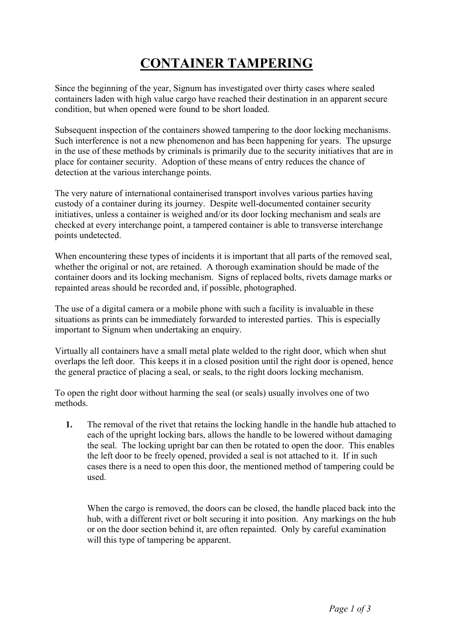## **CONTAINER TAMPERING**

Since the beginning of the year, Signum has investigated over thirty cases where sealed containers laden with high value cargo have reached their destination in an apparent secure condition, but when opened were found to be short loaded.

Subsequent inspection of the containers showed tampering to the door locking mechanisms. Such interference is not a new phenomenon and has been happening for years. The upsurge in the use of these methods by criminals is primarily due to the security initiatives that are in place for container security. Adoption of these means of entry reduces the chance of detection at the various interchange points.

The very nature of international containerised transport involves various parties having custody of a container during its journey. Despite well-documented container security initiatives, unless a container is weighed and/or its door locking mechanism and seals are checked at every interchange point, a tampered container is able to transverse interchange points undetected.

When encountering these types of incidents it is important that all parts of the removed seal. whether the original or not, are retained. A thorough examination should be made of the container doors and its locking mechanism. Signs of replaced bolts, rivets damage marks or repainted areas should be recorded and, if possible, photographed.

The use of a digital camera or a mobile phone with such a facility is invaluable in these situations as prints can be immediately forwarded to interested parties. This is especially important to Signum when undertaking an enquiry.

Virtually all containers have a small metal plate welded to the right door, which when shut overlaps the left door. This keeps it in a closed position until the right door is opened, hence the general practice of placing a seal, or seals, to the right doors locking mechanism.

To open the right door without harming the seal (or seals) usually involves one of two methods.

**1.** The removal of the rivet that retains the locking handle in the handle hub attached to each of the upright locking bars, allows the handle to be lowered without damaging the seal. The locking upright bar can then be rotated to open the door. This enables the left door to be freely opened, provided a seal is not attached to it. If in such cases there is a need to open this door, the mentioned method of tampering could be used.

When the cargo is removed, the doors can be closed, the handle placed back into the hub, with a different rivet or bolt securing it into position. Any markings on the hub or on the door section behind it, are often repainted. Only by careful examination will this type of tampering be apparent.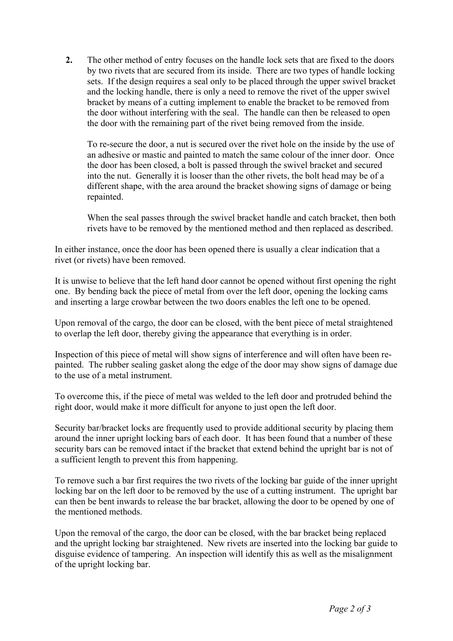**2.** The other method of entry focuses on the handle lock sets that are fixed to the doors by two rivets that are secured from its inside. There are two types of handle locking sets. If the design requires a seal only to be placed through the upper swivel bracket and the locking handle, there is only a need to remove the rivet of the upper swivel bracket by means of a cutting implement to enable the bracket to be removed from the door without interfering with the seal. The handle can then be released to open the door with the remaining part of the rivet being removed from the inside.

To re-secure the door, a nut is secured over the rivet hole on the inside by the use of an adhesive or mastic and painted to match the same colour of the inner door. Once the door has been closed, a bolt is passed through the swivel bracket and secured into the nut. Generally it is looser than the other rivets, the bolt head may be of a different shape, with the area around the bracket showing signs of damage or being repainted.

When the seal passes through the swivel bracket handle and catch bracket, then both rivets have to be removed by the mentioned method and then replaced as described.

In either instance, once the door has been opened there is usually a clear indication that a rivet (or rivets) have been removed.

It is unwise to believe that the left hand door cannot be opened without first opening the right one. By bending back the piece of metal from over the left door, opening the locking cams and inserting a large crowbar between the two doors enables the left one to be opened.

Upon removal of the cargo, the door can be closed, with the bent piece of metal straightened to overlap the left door, thereby giving the appearance that everything is in order.

Inspection of this piece of metal will show signs of interference and will often have been repainted. The rubber sealing gasket along the edge of the door may show signs of damage due to the use of a metal instrument.

To overcome this, if the piece of metal was welded to the left door and protruded behind the right door, would make it more difficult for anyone to just open the left door.

Security bar/bracket locks are frequently used to provide additional security by placing them around the inner upright locking bars of each door. It has been found that a number of these security bars can be removed intact if the bracket that extend behind the upright bar is not of a sufficient length to prevent this from happening.

To remove such a bar first requires the two rivets of the locking bar guide of the inner upright locking bar on the left door to be removed by the use of a cutting instrument. The upright bar can then be bent inwards to release the bar bracket, allowing the door to be opened by one of the mentioned methods.

Upon the removal of the cargo, the door can be closed, with the bar bracket being replaced and the upright locking bar straightened. New rivets are inserted into the locking bar guide to disguise evidence of tampering. An inspection will identify this as well as the misalignment of the upright locking bar.